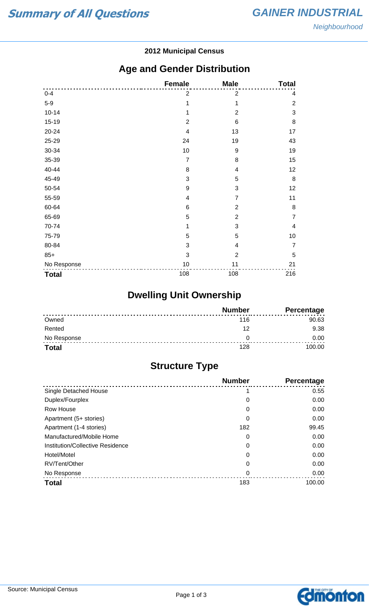#### **2012 Municipal Census**

### **Age and Gender Distribution**

|              | <b>Female</b>  | <b>Male</b>    | <b>Total</b>   |
|--------------|----------------|----------------|----------------|
| $0 - 4$      | $\overline{2}$ | $\mathbf 2$    | 4              |
| $5-9$        | 1              | 1              | $\sqrt{2}$     |
| $10 - 14$    | 1              | $\overline{2}$ | $\mathbf{3}$   |
| 15-19        | $\overline{2}$ | 6              | $\bf 8$        |
| 20-24        | $\overline{4}$ | 13             | 17             |
| 25-29        | 24             | 19             | 43             |
| 30-34        | 10             | 9              | 19             |
| 35-39        | $\overline{7}$ | 8              | 15             |
| 40-44        | 8              | 4              | 12             |
| 45-49        | 3              | 5              | $\, 8$         |
| 50-54        | 9              | 3              | 12             |
| 55-59        | 4              | $\overline{7}$ | 11             |
| 60-64        | 6              | $\overline{2}$ | $\, 8$         |
| 65-69        | 5              | $\overline{2}$ | $\overline{7}$ |
| 70-74        | 1              | 3              | $\overline{4}$ |
| 75-79        | 5              | 5              | 10             |
| 80-84        | 3              | 4              | $\overline{7}$ |
| $85+$        | 3              | $\overline{2}$ | 5              |
| No Response  | 10             | 11             | 21             |
| <b>Total</b> | 108            | 108            | 216            |

## **Dwelling Unit Ownership**

|              | <b>Number</b> | Percentage |
|--------------|---------------|------------|
| Owned        | 116           | 90.63      |
| Rented       | 12            | 9.38       |
| No Response  |               | 0.00       |
| <b>Total</b> | 128           | 100.00     |

## **Structure Type**

|                                  | <b>Number</b> | Percentage |
|----------------------------------|---------------|------------|
| Single Detached House            |               | 0.55       |
| Duplex/Fourplex                  | 0             | 0.00       |
| Row House                        | 0             | 0.00       |
| Apartment (5+ stories)           | 0             | 0.00       |
| Apartment (1-4 stories)          | 182           | 99.45      |
| Manufactured/Mobile Home         | 0             | 0.00       |
| Institution/Collective Residence | 0             | 0.00       |
| Hotel/Motel                      | 0             | 0.00       |
| RV/Tent/Other                    | 0             | 0.00       |
| No Response                      | 0             | 0.00       |
| <b>Total</b>                     | 183           | 100.00     |

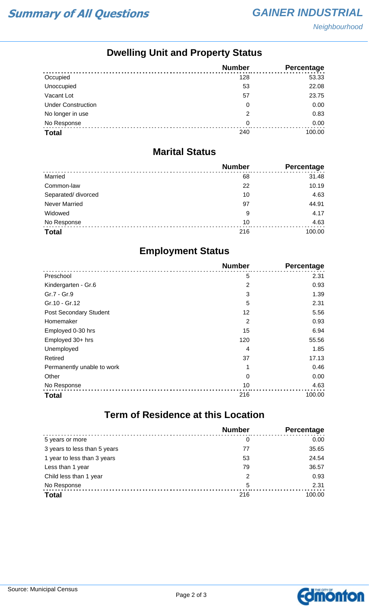# **Dwelling Unit and Property Status**

|                           | <b>Number</b> | Percentage |
|---------------------------|---------------|------------|
| Occupied                  | 128           | 53.33      |
| Unoccupied                | 53            | 22.08      |
| Vacant Lot                | 57            | 23.75      |
| <b>Under Construction</b> | 0             | 0.00       |
| No longer in use          | 2             | 0.83       |
| No Response               | 0             | 0.00       |
| <b>Total</b>              | 240           | 100.00     |

#### **Marital Status**

|                      | <b>Number</b> | Percentage |
|----------------------|---------------|------------|
| Married              | 68            | 31.48      |
| Common-law           | 22            | 10.19      |
| Separated/ divorced  | 10            | 4.63       |
| <b>Never Married</b> | 97            | 44.91      |
| Widowed              | 9             | 4.17       |
| No Response          | 10            | 4.63       |
| <b>Total</b>         | 216           | 100.00     |

### **Employment Status**

|                            | <b>Number</b>  | Percentage |
|----------------------------|----------------|------------|
| Preschool                  | 5              | 2.31       |
| Kindergarten - Gr.6        | $\overline{2}$ | 0.93       |
| Gr.7 - Gr.9                | 3              | 1.39       |
| Gr.10 - Gr.12              | 5              | 2.31       |
| Post Secondary Student     | 12             | 5.56       |
| Homemaker                  | 2              | 0.93       |
| Employed 0-30 hrs          | 15             | 6.94       |
| Employed 30+ hrs           | 120            | 55.56      |
| Unemployed                 | 4              | 1.85       |
| Retired                    | 37             | 17.13      |
| Permanently unable to work | 1              | 0.46       |
| Other                      | 0              | 0.00       |
| No Response                | 10             | 4.63       |
| <b>Total</b>               | 216            | 100.00     |

### **Term of Residence at this Location**

|                              | <b>Number</b>  | Percentage |
|------------------------------|----------------|------------|
| 5 years or more              | 0              | 0.00       |
| 3 years to less than 5 years | 77             | 35.65      |
| 1 year to less than 3 years  | 53             | 24.54      |
| Less than 1 year             | 79             | 36.57      |
| Child less than 1 year       | $\overline{2}$ | 0.93       |
| No Response                  | 5              | 2.31       |
| <b>Total</b>                 | 216            | 100.00     |